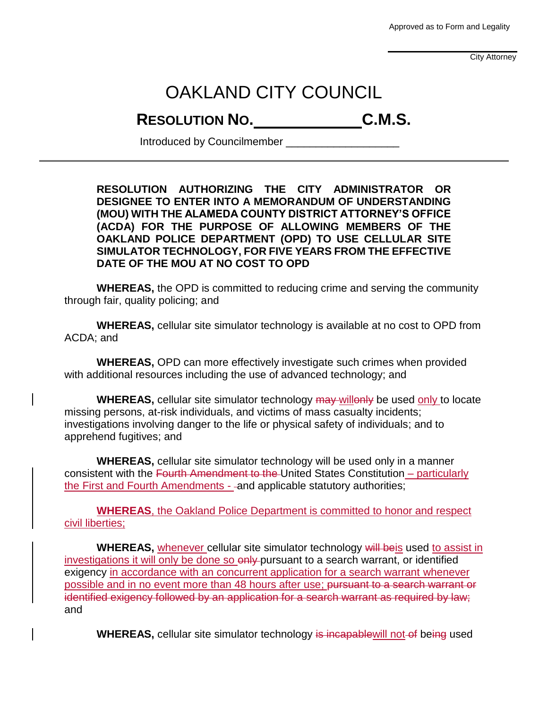Approved as to Form and Legality

City Attorney

## OAKLAND CITY COUNCIL

## **RESOLUTION NO. C.M.S.**

Introduced by Councilmember \_\_\_\_\_\_\_\_\_\_\_\_\_\_\_\_\_\_\_

**RESOLUTION AUTHORIZING THE CITY ADMINISTRATOR OR DESIGNEE TO ENTER INTO A MEMORANDUM OF UNDERSTANDING (MOU) WITH THE ALAMEDA COUNTY DISTRICT ATTORNEY'S OFFICE (ACDA) FOR THE PURPOSE OF ALLOWING MEMBERS OF THE OAKLAND POLICE DEPARTMENT (OPD) TO USE CELLULAR SITE SIMULATOR TECHNOLOGY, FOR FIVE YEARS FROM THE EFFECTIVE DATE OF THE MOU AT NO COST TO OPD**

**WHEREAS,** the OPD is committed to reducing crime and serving the community through fair, quality policing; and

**WHEREAS,** cellular site simulator technology is available at no cost to OPD from ACDA; and

**WHEREAS,** OPD can more effectively investigate such crimes when provided with additional resources including the use of advanced technology; and

**WHEREAS,** cellular site simulator technology may willonly be used only to locate missing persons, at-risk individuals, and victims of mass casualty incidents; investigations involving danger to the life or physical safety of individuals; and to apprehend fugitives; and

**WHEREAS,** cellular site simulator technology will be used only in a manner consistent with the Fourth Amendment to the United States Constitution – particularly the First and Fourth Amendments - - and applicable statutory authorities;

**WHEREAS**, the Oakland Police Department is committed to honor and respect civil liberties;

**WHEREAS, whenever cellular site simulator technology will be is used to assist in** investigations it will only be done so only pursuant to a search warrant, or identified exigency in accordance with an concurrent application for a search warrant whenever possible and in no event more than 48 hours after use; pursuant to a search warrant or identified exigency followed by an application for a search warrant as required by law; and

**WHEREAS,** cellular site simulator technology is incapable will not of being used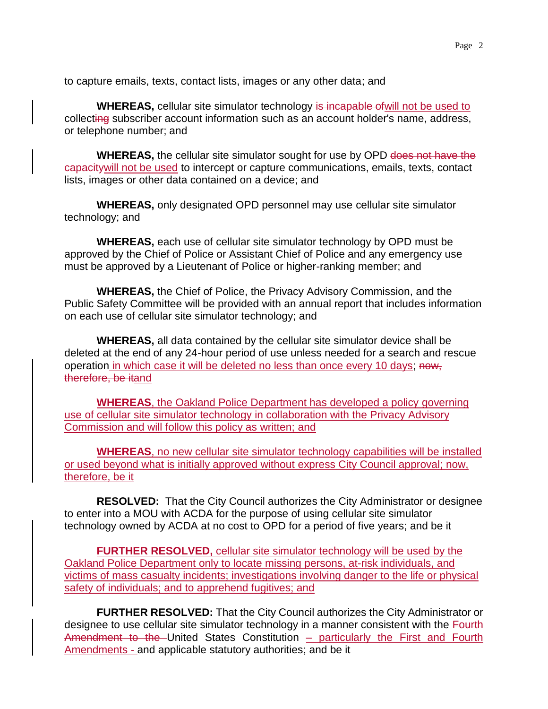to capture emails, texts, contact lists, images or any other data; and

**WHEREAS,** cellular site simulator technology is incapable ofwill not be used to collecting subscriber account information such as an account holder's name, address, or telephone number; and

**WHEREAS,** the cellular site simulator sought for use by OPD does not have the capacitywill not be used to intercept or capture communications, emails, texts, contact lists, images or other data contained on a device; and

**WHEREAS,** only designated OPD personnel may use cellular site simulator technology; and

**WHEREAS,** each use of cellular site simulator technology by OPD must be approved by the Chief of Police or Assistant Chief of Police and any emergency use must be approved by a Lieutenant of Police or higher-ranking member; and

**WHEREAS,** the Chief of Police, the Privacy Advisory Commission, and the Public Safety Committee will be provided with an annual report that includes information on each use of cellular site simulator technology; and

**WHEREAS,** all data contained by the cellular site simulator device shall be deleted at the end of any 24-hour period of use unless needed for a search and rescue operation in which case it will be deleted no less than once every 10 days; now, therefore, be itand

**WHEREAS**, the Oakland Police Department has developed a policy governing use of cellular site simulator technology in collaboration with the Privacy Advisory Commission and will follow this policy as written; and

**WHEREAS**, no new cellular site simulator technology capabilities will be installed or used beyond what is initially approved without express City Council approval; now, therefore, be it

**RESOLVED:** That the City Council authorizes the City Administrator or designee to enter into a MOU with ACDA for the purpose of using cellular site simulator technology owned by ACDA at no cost to OPD for a period of five years; and be it

**FURTHER RESOLVED,** cellular site simulator technology will be used by the Oakland Police Department only to locate missing persons, at-risk individuals, and victims of mass casualty incidents; investigations involving danger to the life or physical safety of individuals; and to apprehend fugitives; and

**FURTHER RESOLVED:** That the City Council authorizes the City Administrator or designee to use cellular site simulator technology in a manner consistent with the Fourth Amendment to the United States Constitution – particularly the First and Fourth Amendments - and applicable statutory authorities; and be it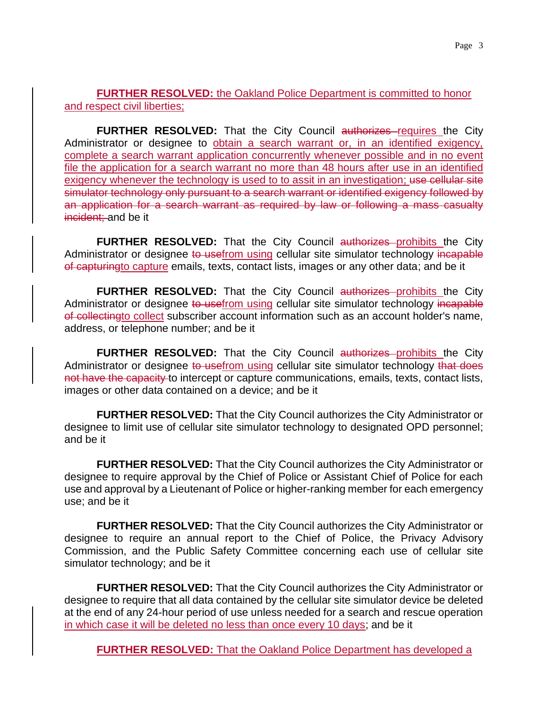## **FURTHER RESOLVED:** the Oakland Police Department is committed to honor and respect civil liberties;

**FURTHER RESOLVED:** That the City Council authorizes requires the City Administrator or designee to obtain a search warrant or, in an identified exigency, complete a search warrant application concurrently whenever possible and in no event file the application for a search warrant no more than 48 hours after use in an identified exigency whenever the technology is used to to assit in an investigation; use cellular site simulator technology only pursuant to a search warrant or identified exigency followed by an application for a search warrant as required by law or following a mass casualty incident; and be it

**FURTHER RESOLVED:** That the City Council authorizes prohibits the City Administrator or designee to usefrom using cellular site simulator technology incapable of capturingto capture emails, texts, contact lists, images or any other data; and be it

FURTHER RESOLVED: That the City Council authorizes prohibits the City Administrator or designee to usefrom using cellular site simulator technology incapable of collectingto collect subscriber account information such as an account holder's name, address, or telephone number; and be it

**FURTHER RESOLVED:** That the City Council authorizes prohibits the City Administrator or designee to usefrom using cellular site simulator technology that does not have the capacity to intercept or capture communications, emails, texts, contact lists, images or other data contained on a device; and be it

**FURTHER RESOLVED:** That the City Council authorizes the City Administrator or designee to limit use of cellular site simulator technology to designated OPD personnel; and be it

**FURTHER RESOLVED:** That the City Council authorizes the City Administrator or designee to require approval by the Chief of Police or Assistant Chief of Police for each use and approval by a Lieutenant of Police or higher-ranking member for each emergency use; and be it

**FURTHER RESOLVED:** That the City Council authorizes the City Administrator or designee to require an annual report to the Chief of Police, the Privacy Advisory Commission, and the Public Safety Committee concerning each use of cellular site simulator technology; and be it

**FURTHER RESOLVED:** That the City Council authorizes the City Administrator or designee to require that all data contained by the cellular site simulator device be deleted at the end of any 24-hour period of use unless needed for a search and rescue operation in which case it will be deleted no less than once every 10 days; and be it

**FURTHER RESOLVED:** That the Oakland Police Department has developed a